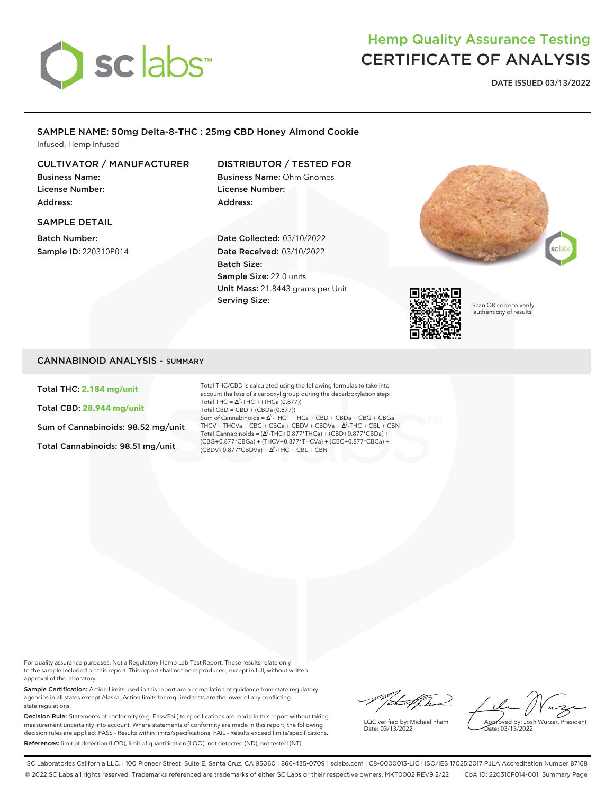# sclabs

# Hemp Quality Assurance Testing CERTIFICATE OF ANALYSIS

**DATE ISSUED 03/13/2022**

#### SAMPLE NAME: 50mg Delta-8-THC : 25mg CBD Honey Almond Cookie Infused, Hemp Infused

#### CULTIVATOR / MANUFACTURER

Business Name: License Number: Address:

#### SAMPLE DETAIL

Batch Number: Sample ID: 220310P014

# DISTRIBUTOR / TESTED FOR

Business Name: Ohm Gnomes License Number: Address:

Date Collected: 03/10/2022 Date Received: 03/10/2022 Batch Size: Sample Size: 22.0 units Unit Mass: 21.8443 grams per Unit Serving Size:





Scan QR code to verify authenticity of results.

#### CANNABINOID ANALYSIS - SUMMARY

Total THC: **2.184 mg/unit**

Total CBD: **28.944 mg/unit**

Sum of Cannabinoids: 98.52 mg/unit

Total Cannabinoids: 98.51 mg/unit

Total THC/CBD is calculated using the following formulas to take into account the loss of a carboxyl group during the decarboxylation step: Total THC =  $\Delta^9$ -THC + (THCa (0.877)) Total CBD = CBD + (CBDa (0.877)) Sum of Cannabinoids =  $\Delta^9$ -THC + THCa + CBD + CBDa + CBG + CBGa + THCV + THCVa + CBC + CBCa + CBDV + CBDVa + ∆<sup>8</sup>-THC + CBL + CBN Total Cannabinoids =  $(\Delta^9$ -THC+0.877\*THCa) + (CBD+0.877\*CBDa) + (CBG+0.877\*CBGa) + (THCV+0.877\*THCVa) + (CBC+0.877\*CBCa) +  $(CBDV+0.877*CBDVa) + \Delta^{8}$ -THC + CBL + CBN

For quality assurance purposes. Not a Regulatory Hemp Lab Test Report. These results relate only to the sample included on this report. This report shall not be reproduced, except in full, without written approval of the laboratory.

Sample Certification: Action Limits used in this report are a compilation of guidance from state regulatory agencies in all states except Alaska. Action limits for required tests are the lower of any conflicting state regulations.

Decision Rule: Statements of conformity (e.g. Pass/Fail) to specifications are made in this report without taking measurement uncertainty into account. Where statements of conformity are made in this report, the following decision rules are applied: PASS - Results within limits/specifications, FAIL - Results exceed limits/specifications. References: limit of detection (LOD), limit of quantification (LOQ), not detected (ND), not tested (NT)

Withelphal

Date: 03/13/2022

oved by: Josh Wurzer, President

 $\frac{1}{10}$  03/13/2022

LQC verified by: Michael Pham

SC Laboratories California LLC. | 100 Pioneer Street, Suite E, Santa Cruz, CA 95060 | 866-435-0709 | sclabs.com | C8-0000013-LIC | ISO/IES 17025:2017 PJLA Accreditation Number 87168 © 2022 SC Labs all rights reserved. Trademarks referenced are trademarks of either SC Labs or their respective owners. MKT0002 REV9 2/22 CoA ID: 220310P014-001 Summary Page